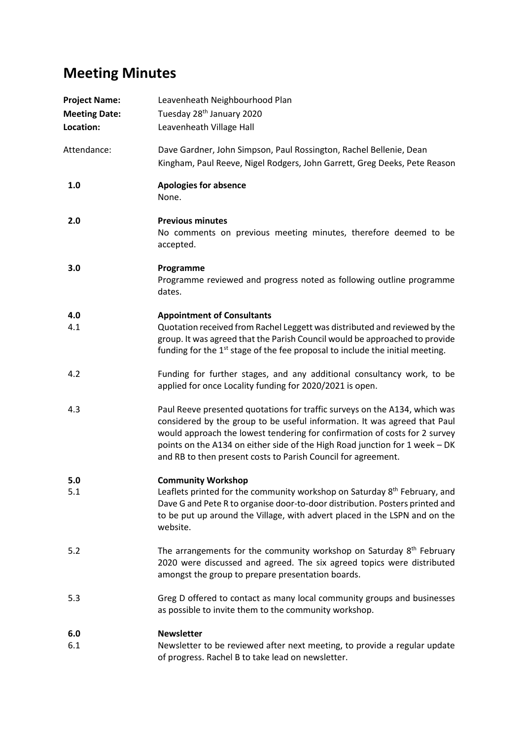## **Meeting Minutes**

| <b>Project Name:</b><br><b>Meeting Date:</b><br>Location: | Leavenheath Neighbourhood Plan<br>Tuesday 28 <sup>th</sup> January 2020<br>Leavenheath Village Hall                                                                                                                                                                                                                                                                                   |
|-----------------------------------------------------------|---------------------------------------------------------------------------------------------------------------------------------------------------------------------------------------------------------------------------------------------------------------------------------------------------------------------------------------------------------------------------------------|
| Attendance:                                               | Dave Gardner, John Simpson, Paul Rossington, Rachel Bellenie, Dean<br>Kingham, Paul Reeve, Nigel Rodgers, John Garrett, Greg Deeks, Pete Reason                                                                                                                                                                                                                                       |
| 1.0                                                       | <b>Apologies for absence</b><br>None.                                                                                                                                                                                                                                                                                                                                                 |
| 2.0                                                       | <b>Previous minutes</b><br>No comments on previous meeting minutes, therefore deemed to be<br>accepted.                                                                                                                                                                                                                                                                               |
| 3.0                                                       | Programme<br>Programme reviewed and progress noted as following outline programme<br>dates.                                                                                                                                                                                                                                                                                           |
| 4.0<br>4.1                                                | <b>Appointment of Consultants</b><br>Quotation received from Rachel Leggett was distributed and reviewed by the<br>group. It was agreed that the Parish Council would be approached to provide<br>funding for the 1 <sup>st</sup> stage of the fee proposal to include the initial meeting.                                                                                           |
| 4.2                                                       | Funding for further stages, and any additional consultancy work, to be<br>applied for once Locality funding for 2020/2021 is open.                                                                                                                                                                                                                                                    |
| 4.3                                                       | Paul Reeve presented quotations for traffic surveys on the A134, which was<br>considered by the group to be useful information. It was agreed that Paul<br>would approach the lowest tendering for confirmation of costs for 2 survey<br>points on the A134 on either side of the High Road junction for 1 week - DK<br>and RB to then present costs to Parish Council for agreement. |
| 5.0<br>5.1                                                | <b>Community Workshop</b><br>Leaflets printed for the community workshop on Saturday 8 <sup>th</sup> February, and<br>Dave G and Pete R to organise door-to-door distribution. Posters printed and<br>to be put up around the Village, with advert placed in the LSPN and on the<br>website.                                                                                          |
| 5.2                                                       | The arrangements for the community workshop on Saturday 8 <sup>th</sup> February<br>2020 were discussed and agreed. The six agreed topics were distributed<br>amongst the group to prepare presentation boards.                                                                                                                                                                       |
| 5.3                                                       | Greg D offered to contact as many local community groups and businesses<br>as possible to invite them to the community workshop.                                                                                                                                                                                                                                                      |
| 6.0                                                       | <b>Newsletter</b>                                                                                                                                                                                                                                                                                                                                                                     |
| 6.1                                                       | Newsletter to be reviewed after next meeting, to provide a regular update<br>of progress. Rachel B to take lead on newsletter.                                                                                                                                                                                                                                                        |